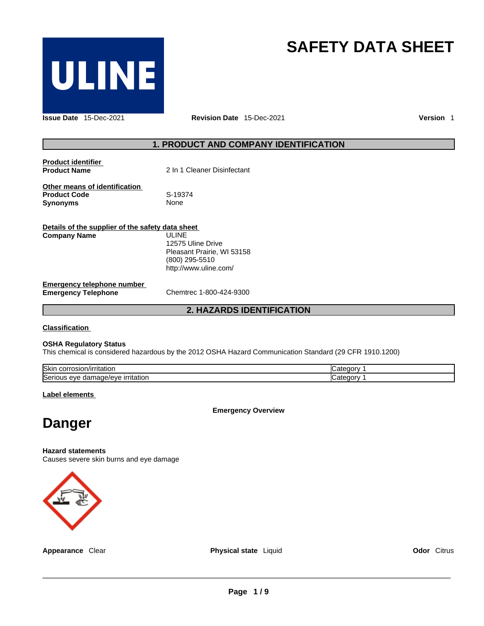

# **SAFETY DATA SHEET**

**Issue Date** 15-Dec-2021 **Revision Date** 15-Dec-2021 **Version** 1

# **1. PRODUCT AND COMPANY IDENTIFICATION**

**Product identifier**

**Product Name** 2 In 1 Cleaner Disinfectant

**Other means of identification**<br>**Product Code** S-19374 **Product Code** S-19374 **Synonyms** 

| Details of the supplier of the safety data sheet |                            |  |
|--------------------------------------------------|----------------------------|--|
| <b>Company Name</b>                              | ULINE.                     |  |
|                                                  | 12575 Uline Drive          |  |
|                                                  | Pleasant Prairie, WI 53158 |  |
|                                                  | (800) 295-5510             |  |
|                                                  | http://www.uline.com/      |  |
| Emergency telephone number                       |                            |  |
| <b>Emergency Telephone</b>                       | Chemtrec 1-800-424-9300    |  |

**2. HAZARDS IDENTIFICATION** 

**Classification**

#### **OSHA Regulatory Status**

This chemical is considered hazardous by the 2012 OSHA Hazard Communication Standard (29 CFR 1910.1200)

| <b>Skir</b><br>.<br>ntation<br>JOH "<br>. 050.       |  |
|------------------------------------------------------|--|
| ∽<br>atıor<br><br>15ei<br>eve<br>aade/eve<br><br>uar |  |

**Label elements**

**Emergency Overview** 

# **Danger**

#### **Hazard statements**

Causes severe skin burns and eye damage



**Appearance** Clear **Physical state** Liquid **Odor** Citrus

 $\_$  ,  $\_$  ,  $\_$  ,  $\_$  ,  $\_$  ,  $\_$  ,  $\_$  ,  $\_$  ,  $\_$  ,  $\_$  ,  $\_$  ,  $\_$  ,  $\_$  ,  $\_$  ,  $\_$  ,  $\_$  ,  $\_$  ,  $\_$  ,  $\_$  ,  $\_$  ,  $\_$  ,  $\_$  ,  $\_$  ,  $\_$  ,  $\_$  ,  $\_$  ,  $\_$  ,  $\_$  ,  $\_$  ,  $\_$  ,  $\_$  ,  $\_$  ,  $\_$  ,  $\_$  ,  $\_$  ,  $\_$  ,  $\_$  ,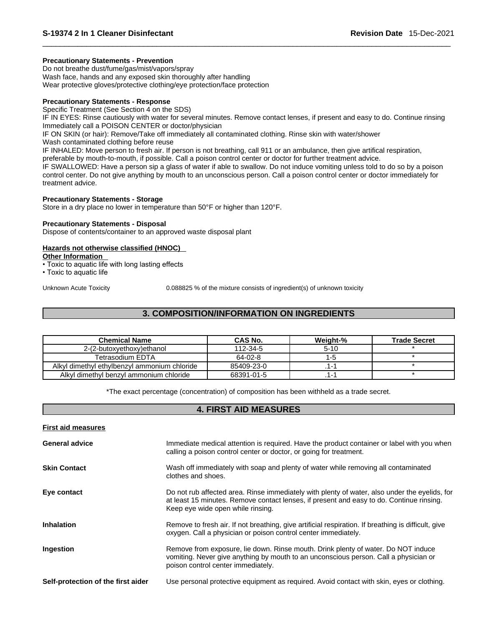#### **Precautionary Statements - Prevention**

Do not breathe dust/fume/gas/mist/vapors/spray Wash face, hands and any exposed skin thoroughly after handling Wear protective gloves/protective clothing/eye protection/face protection

#### **Precautionary Statements - Response**

Specific Treatment (See Section 4 on the SDS)

IF IN EYES: Rinse cautiously with water for several minutes. Remove contact lenses, if present and easy to do. Continue rinsing Immediately call a POISON CENTER or doctor/physician

IF ON SKIN (or hair): Remove/Take off immediately all contaminated clothing. Rinse skin with water/shower

Wash contaminated clothing before reuse

IF INHALED: Move person to fresh air. If person is not breathing, call 911 or an ambulance, then give artifical respiration,

preferable by mouth-to-mouth, if possible. Call a poison control center or doctor for further treatment advice.

IF SWALLOWED: Have a person sip a glass of water if able to swallow. Do not induce vomiting unless told to do so by a poison control center. Do not give anything by mouth to an unconscious person. Call a poison control center or doctor immediately for treatment advice.

#### **Precautionary Statements - Storage**

Store in a dry place no lower in temperature than 50°F or higher than 120°F.

#### **Precautionary Statements - Disposal**

Dispose of contents/container to an approved waste disposal plant

#### **Hazards not otherwise classified (HNOC)**

- **Other Information**
- Toxic to aquatic life with long lasting effects
- Toxic to aquatic life

Unknown Acute Toxicity 0.088825 % of the mixture consists of ingredient(s) of unknown toxicity

# **3. COMPOSITION/INFORMATION ON INGREDIENTS**

| <b>Chemical Name</b>                         | CAS No.    | Weiaht-% | <b>Trade Secret</b> |
|----------------------------------------------|------------|----------|---------------------|
| 2-(2-butoxyethoxy)ethanol                    | 112-34-5   | $5-10$   |                     |
| Tetrasodium EDTA                             | 64-02-8    | -5       |                     |
| Alkyl dimethyl ethylbenzyl ammonium chloride | 85409-23-0 |          |                     |
| Alkyl dimethyl benzyl ammonium chloride      | 68391-01-5 | . .      |                     |

\*The exact percentage (concentration) of composition has been withheld as a trade secret.

# **4. FIRST AID MEASURES First aid measures** General advice **Immediate medical attention is required.** Have the product container or label with you when calling a poison control center or doctor, or going for treatment. **Skin Contact** Wash off immediately with soap and plenty of water while removing all contaminated clothes and shoes. **Eye contact** Do not rub affected area. Rinse immediately with plenty of water, also under the eyelids, for at least 15 minutes. Remove contact lenses, if present and easy to do. Continue rinsing. Keep eye wide open while rinsing. Inhalation **Inhalation** Remove to fresh air. If not breathing, give artificial respiration. If breathing is difficult, give oxygen. Call a physician or poison control center immediately. **Ingestion Remove from exposure, lie down. Rinse mouth. Drink plenty of water. Do NOT induce** vomiting. Never give anything by mouth to an unconscious person. Call a physician or poison control center immediately. **Self-protection of the first aider** Use personal protective equipment as required.Avoid contact with skin, eyes or clothing.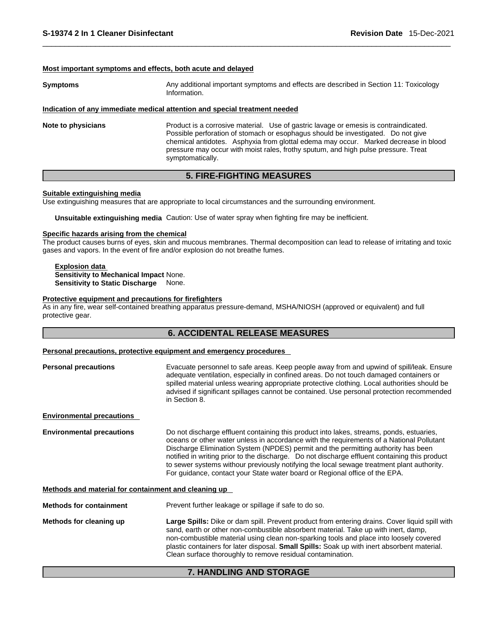#### **Most important symptoms and effects, both acute and delayed**

**Symptoms** Any additional important symptoms and effects are described in Section 11: Toxicology Information.

#### **Indication of any immediate medical attention and special treatment needed**

**Note to physicians** Product is a corrosive material. Use of gastric lavage or emesis is contraindicated. Possible perforation of stomach or esophagus should be investigated. Do not give chemical antidotes. Asphyxia from glottal edema may occur. Marked decrease in blood pressure may occur with moist rales, frothy sputum, and high pulse pressure. Treat symptomatically.

## **5. FIRE-FIGHTING MEASURES**

#### **Suitable extinguishing media**

Use extinguishing measures that are appropriate to local circumstances and the surrounding environment.

**Unsuitable extinguishing media** Caution: Use of water spray when fighting fire may be inefficient.

### **Specific hazards arising from the chemical**

The product causes burns of eyes, skin and mucous membranes. Thermal decomposition can lead to release of irritating and toxic gases and vapors. In the event of fire and/or explosion do not breathe fumes.

**Explosion data Sensitivity to Mechanical Impact** None. **Sensitivity to Static Discharge** None.

#### **Protective equipment and precautions for firefighters**

As in any fire, wear self-contained breathing apparatus pressure-demand, MSHA/NIOSH (approved or equivalent) and full protective gear.

#### **6. ACCIDENTAL RELEASE MEASURES**

#### **Personal precautions, protective equipment and emergency procedures**

| <b>Personal precautions</b>                          | Evacuate personnel to safe areas. Keep people away from and upwind of spill/leak. Ensure                                                                                                                                                                                                                                                                                                                                                                                                                                                               |
|------------------------------------------------------|--------------------------------------------------------------------------------------------------------------------------------------------------------------------------------------------------------------------------------------------------------------------------------------------------------------------------------------------------------------------------------------------------------------------------------------------------------------------------------------------------------------------------------------------------------|
|                                                      | adequate ventilation, especially in confined areas. Do not touch damaged containers or<br>spilled material unless wearing appropriate protective clothing. Local authorities should be<br>advised if significant spillages cannot be contained. Use personal protection recommended<br>in Section 8.                                                                                                                                                                                                                                                   |
| <b>Environmental precautions</b>                     |                                                                                                                                                                                                                                                                                                                                                                                                                                                                                                                                                        |
| <b>Environmental precautions</b>                     | Do not discharge effluent containing this product into lakes, streams, ponds, estuaries,<br>oceans or other water unless in accordance with the requirements of a National Pollutant<br>Discharge Elimination System (NPDES) permit and the permitting authority has been<br>notified in writing prior to the discharge. Do not discharge effluent containing this product<br>to sewer systems withour previously notifying the local sewage treatment plant authority.<br>For quidance, contact your State water board or Regional office of the EPA. |
| Methods and material for containment and cleaning up |                                                                                                                                                                                                                                                                                                                                                                                                                                                                                                                                                        |
| <b>Methods for containment</b>                       | Prevent further leakage or spillage if safe to do so.                                                                                                                                                                                                                                                                                                                                                                                                                                                                                                  |
| Methods for cleaning up                              | Large Spills: Dike or dam spill. Prevent product from entering drains. Cover liquid spill with<br>sand, earth or other non-combustible absorbent material. Take up with inert, damp,<br>non-combustible material using clean non-sparking tools and place into loosely covered                                                                                                                                                                                                                                                                         |

#### **7. HANDLING AND STORAGE**

Clean surface thoroughly to remove residual contamination.

plastic containers for later disposal. **Small Spills:** Soak up with inert absorbent material.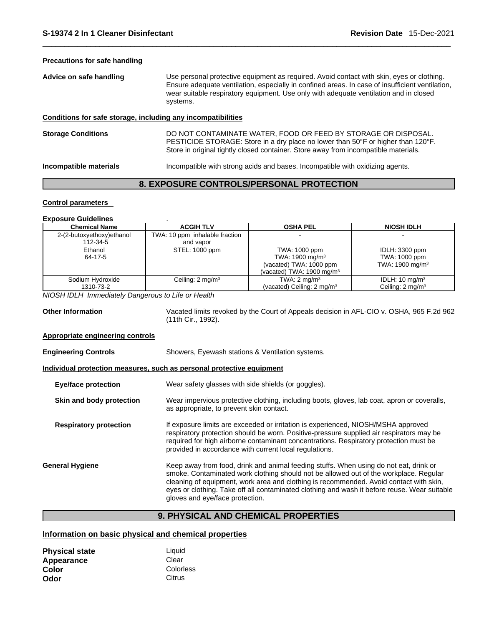#### **Precautions for safe handling**

**Advice on safe handling** Use personal protective equipment as required.Avoid contact with skin, eyes or clothing. Ensure adequate ventilation, especially in confined areas. In case of insufficient ventilation, wear suitable respiratory equipment. Use only with adequate ventilation and in closed systems.

#### **Conditions for safe storage, including any incompatibilities**

**Storage Conditions** DO NOT CONTAMINATE WATER, FOOD OR FEED BY STORAGE OR DISPOSAL. PESTICIDE STORAGE: Store in a dry place no lower than 50°F or higher than 120°F. Store in original tightly closed container. Store away from incompatible materials.

**Incompatible materials Incompatible** with strong acids and bases. Incompatible with oxidizing agents.

# **8. EXPOSURE CONTROLS/PERSONAL PROTECTION**

#### **Control parameters**

#### **Exposure Guidelines** .

| <b>Chemical Name</b>      | <b>ACGIH TLV</b>               | <b>OSHA PEL</b>                        | <b>NIOSH IDLH</b>            |
|---------------------------|--------------------------------|----------------------------------------|------------------------------|
| 2-(2-butoxyethoxy)ethanol | TWA: 10 ppm inhalable fraction |                                        |                              |
| 112-34-5                  | and vapor                      |                                        |                              |
| Ethanol                   | STEL: 1000 ppm                 | TWA: 1000 ppm                          | IDLH: 3300 ppm               |
| 64-17-5                   |                                | TWA: $1900 \text{ mg/m}^3$             | TWA: 1000 ppm                |
|                           |                                | (vacated) TWA: 1000 ppm                | TWA: 1900 mg/m <sup>3</sup>  |
|                           |                                | (vacated) TWA: 1900 mg/m <sup>3</sup>  |                              |
| Sodium Hydroxide          | Ceiling: $2 \text{ mg/m}^3$    | TWA: $2 \text{ mg/m}^3$                | IDLH: $10 \text{ mg/m}^3$    |
| 1310-73-2                 |                                | (vacated) Ceiling: 2 mg/m <sup>3</sup> | Ceiling: 2 mg/m <sup>3</sup> |

*NIOSH IDLH Immediately Dangerous to Life or Health* 

**Other Information** Vacated limits revoked by the Court of Appeals decision in AFL-CIO v.OSHA, 965 F.2d 962 (11th Cir., 1992).

#### **Appropriate engineering controls**

**Engineering Controls Controls** Showers, Eyewash stations & Ventilation systems.

#### **Individual protection measures, such as personal protective equipment**

| <b>Eye/face protection</b>    | Wear safety glasses with side shields (or goggles).                                                                                                                                                                                                                                                                                                                                                         |
|-------------------------------|-------------------------------------------------------------------------------------------------------------------------------------------------------------------------------------------------------------------------------------------------------------------------------------------------------------------------------------------------------------------------------------------------------------|
| Skin and body protection      | Wear impervious protective clothing, including boots, gloves, lab coat, apron or coveralls,<br>as appropriate, to prevent skin contact.                                                                                                                                                                                                                                                                     |
| <b>Respiratory protection</b> | If exposure limits are exceeded or irritation is experienced, NIOSH/MSHA approved<br>respiratory protection should be worn. Positive-pressure supplied air respirators may be<br>required for high airborne contaminant concentrations. Respiratory protection must be<br>provided in accordance with current local regulations.                                                                            |
| General Hygiene               | Keep away from food, drink and animal feeding stuffs. When using do not eat, drink or<br>smoke. Contaminated work clothing should not be allowed out of the workplace. Regular<br>cleaning of equipment, work area and clothing is recommended. Avoid contact with skin,<br>eyes or clothing. Take off all contaminated clothing and wash it before reuse. Wear suitable<br>gloves and eye/face protection. |

# **9. PHYSICAL AND CHEMICAL PROPERTIES**

# **Information on basic physical and chemical properties**

| <b>Physical state</b> | Liquid    |
|-----------------------|-----------|
| Appearance            | Clear     |
| Color                 | Colorless |
| Odor                  | Citrus    |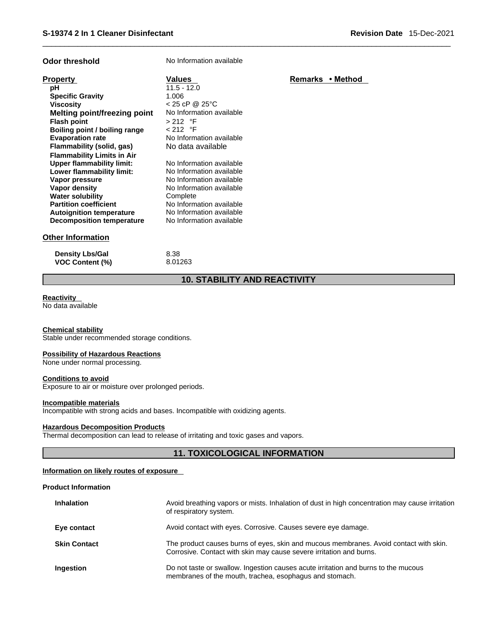| <b>Odor threshold</b>               | No Information available |                  |
|-------------------------------------|--------------------------|------------------|
| <b>Property</b>                     | Values                   | Remarks • Method |
| рH                                  | $11.5 - 12.0$            |                  |
| <b>Specific Gravity</b>             | 1.006                    |                  |
| <b>Viscosity</b>                    | $< 25$ cP @ 25°C         |                  |
| <b>Melting point/freezing point</b> | No Information available |                  |
| <b>Flash point</b>                  | $> 212$ °F               |                  |
| Boiling point / boiling range       | $< 212$ °F               |                  |
| <b>Evaporation rate</b>             | No Information available |                  |
| Flammability (solid, gas)           | No data available        |                  |
| <b>Flammability Limits in Air</b>   |                          |                  |
| <b>Upper flammability limit:</b>    | No Information available |                  |
| Lower flammability limit:           | No Information available |                  |
| Vapor pressure                      | No Information available |                  |
| Vapor density                       | No Information available |                  |
| <b>Water solubility</b>             | Complete                 |                  |
| <b>Partition coefficient</b>        | No Information available |                  |
| <b>Autoignition temperature</b>     | No Information available |                  |
| Decomposition temperature           | No Information available |                  |
| <b>Other Information</b>            |                          |                  |
| Density I hs/Gal                    | 8.38                     |                  |

**persity Lbs/Gall 8.38**<br>**DC Content (%)** 8.01263 **VOC** Content (%)

# **10. STABILITY AND REACTIVITY**

#### **Reactivity**

No data available

### **Chemical stability**

Stable under recommended storage conditions.

#### **Possibility of Hazardous Reactions**

None under normal processing.

#### **Conditions to avoid**

Exposure to air or moisture over prolonged periods.

#### **Incompatible materials**

Incompatible with strong acids and bases. Incompatible with oxidizing agents.

#### **Hazardous Decomposition Products**

Thermal decomposition can lead to release of irritating and toxic gases and vapors.

# **11. TOXICOLOGICAL INFORMATION**

#### **Information on likely routes of exposure**

# **Product Information**

| <b>Inhalation</b>   | Avoid breathing vapors or mists. Inhalation of dust in high concentration may cause irritation<br>of respiratory system.                                     |
|---------------------|--------------------------------------------------------------------------------------------------------------------------------------------------------------|
| Eye contact         | Avoid contact with eyes. Corrosive. Causes severe eye damage.                                                                                                |
| <b>Skin Contact</b> | The product causes burns of eyes, skin and mucous membranes. Avoid contact with skin.<br>Corrosive. Contact with skin may cause severe irritation and burns. |
| Ingestion           | Do not taste or swallow. Ingestion causes acute irritation and burns to the mucous<br>membranes of the mouth, trachea, esophagus and stomach.                |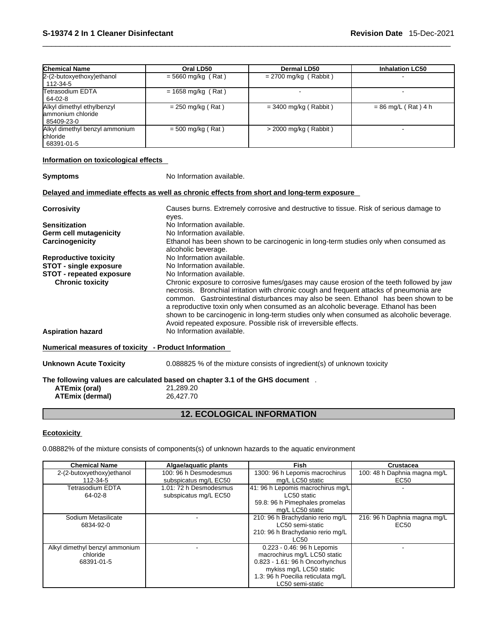| <b>Chemical Name</b>                                            | Oral LD50                    | Dermal LD50             | <b>Inhalation LC50</b> |
|-----------------------------------------------------------------|------------------------------|-------------------------|------------------------|
| 2-(2-butoxyethoxy) ethanol<br>112-34-5                          | $= 5660$ mg/kg (Rat)         | $= 2700$ mg/kg (Rabbit) |                        |
| <b>Tetrasodium EDTA</b><br>64-02-8                              | $= 1658 \text{ mg/kg}$ (Rat) |                         |                        |
| Alkyl dimethyl ethylbenzyl<br>lammonium chloride<br>85409-23-0  | $= 250$ mg/kg (Rat)          | $=$ 3400 mg/kg (Rabbit) | $= 86$ mg/L (Rat) 4 h  |
| Alkyl dimethyl benzyl ammonium<br><b>chloride</b><br>68391-01-5 | $= 500$ mg/kg (Rat)          | $>$ 2000 mg/kg (Rabbit) |                        |

### **Information on toxicological effects**

| <b>Symptoms</b>                                      | No Information available.                                                                                                                                                                                                                                                                                                                                                                                                                                                                                                       |
|------------------------------------------------------|---------------------------------------------------------------------------------------------------------------------------------------------------------------------------------------------------------------------------------------------------------------------------------------------------------------------------------------------------------------------------------------------------------------------------------------------------------------------------------------------------------------------------------|
|                                                      | Delayed and immediate effects as well as chronic effects from short and long-term exposure                                                                                                                                                                                                                                                                                                                                                                                                                                      |
| <b>Corrosivity</b>                                   | Causes burns. Extremely corrosive and destructive to tissue. Risk of serious damage to<br>eyes.                                                                                                                                                                                                                                                                                                                                                                                                                                 |
| <b>Sensitization</b>                                 | No Information available.                                                                                                                                                                                                                                                                                                                                                                                                                                                                                                       |
| Germ cell mutagenicity                               | No Information available.                                                                                                                                                                                                                                                                                                                                                                                                                                                                                                       |
| <b>Carcinogenicity</b>                               | Ethanol has been shown to be carcinogenic in long-term studies only when consumed as<br>alcoholic beverage.                                                                                                                                                                                                                                                                                                                                                                                                                     |
| <b>Reproductive toxicity</b>                         | No Information available.                                                                                                                                                                                                                                                                                                                                                                                                                                                                                                       |
| <b>STOT - single exposure</b>                        | No Information available.                                                                                                                                                                                                                                                                                                                                                                                                                                                                                                       |
| <b>STOT - repeated exposure</b>                      | No Information available.                                                                                                                                                                                                                                                                                                                                                                                                                                                                                                       |
| <b>Chronic toxicity</b>                              | Chronic exposure to corrosive fumes/gases may cause erosion of the teeth followed by jaw<br>necrosis. Bronchial irritation with chronic cough and frequent attacks of pneumonia are<br>common. Gastrointestinal disturbances may also be seen. Ethanol has been shown to be<br>a reproductive toxin only when consumed as an alcoholic beverage. Ethanol has been<br>shown to be carcinogenic in long-term studies only when consumed as alcoholic beverage.<br>Avoid repeated exposure. Possible risk of irreversible effects. |
| <b>Aspiration hazard</b>                             | No Information available.                                                                                                                                                                                                                                                                                                                                                                                                                                                                                                       |
| Numerical measures of toxicity - Product Information |                                                                                                                                                                                                                                                                                                                                                                                                                                                                                                                                 |
| <b>Unknown Acute Toxicity</b>                        | 0.088825 % of the mixture consists of ingredient(s) of unknown toxicity                                                                                                                                                                                                                                                                                                                                                                                                                                                         |
| <b>ATEmix (oral)</b><br><b>ATEmix (dermal)</b>       | The following values are calculated based on chapter 3.1 of the GHS document.<br>21,289.20<br>26,427.70                                                                                                                                                                                                                                                                                                                                                                                                                         |

# **12. ECOLOGICAL INFORMATION**

# **Ecotoxicity**

0.08882% of the mixture consists of components(s) of unknown hazards to the aquatic environment

| <b>Chemical Name</b>           | Algae/aquatic plants   | <b>Fish</b>                        | Crustacea                    |
|--------------------------------|------------------------|------------------------------------|------------------------------|
| 2-(2-butoxyethoxy)ethanol      | 100: 96 h Desmodesmus  | 1300: 96 h Lepomis macrochirus     | 100: 48 h Daphnia magna mg/L |
| 112-34-5                       | subspicatus mg/L EC50  | mg/L LC50 static                   | EC50                         |
| Tetrasodium EDTA               | 1.01: 72 h Desmodesmus | 41: 96 h Lepomis macrochirus mg/L  |                              |
| 64-02-8                        | subspicatus mg/L EC50  | LC50 static                        |                              |
|                                |                        | 59.8: 96 h Pimephales promelas     |                              |
|                                |                        | mg/L LC50 static                   |                              |
| Sodium Metasilicate            |                        | 210: 96 h Brachydanio rerio mg/L   | 216: 96 h Daphnia magna mg/L |
| 6834-92-0                      |                        | LC50 semi-static                   | EC <sub>50</sub>             |
|                                |                        | 210: 96 h Brachydanio rerio mg/L   |                              |
|                                |                        | LC50                               |                              |
| Alkyl dimethyl benzyl ammonium |                        | 0.223 - 0.46: 96 h Lepomis         |                              |
| chloride                       |                        | macrochirus mg/L LC50 static       |                              |
| 68391-01-5                     |                        | 0.823 - 1.61: 96 h Oncorhynchus    |                              |
|                                |                        | mykiss mg/L LC50 static            |                              |
|                                |                        | 1.3: 96 h Poecilia reticulata mg/L |                              |
|                                |                        | LC50 semi-static                   |                              |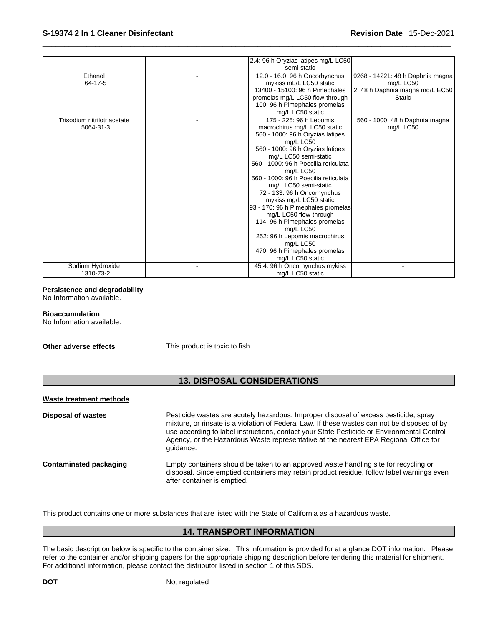|                                          | 2.4: 96 h Oryzias latipes mg/L LC50<br>semi-static                                                                                                                                                                                                                                                                                                                                                                                                                                                                                                                                                                                        |
|------------------------------------------|-------------------------------------------------------------------------------------------------------------------------------------------------------------------------------------------------------------------------------------------------------------------------------------------------------------------------------------------------------------------------------------------------------------------------------------------------------------------------------------------------------------------------------------------------------------------------------------------------------------------------------------------|
| Ethanol<br>64-17-5                       | 12.0 - 16.0: 96 h Oncorhynchus<br>9268 - 14221: 48 h Daphnia magna<br>mg/L LC50<br>mykiss mL/L LC50 static<br>2: 48 h Daphnia magna mg/L EC50<br>13400 - 15100: 96 h Pimephales<br>promelas mg/L LC50 flow-through<br><b>Static</b><br>100: 96 h Pimephales promelas                                                                                                                                                                                                                                                                                                                                                                      |
| Trisodium nitrilotriacetate<br>5064-31-3 | mg/L LC50 static<br>175 - 225: 96 h Lepomis<br>560 - 1000: 48 h Daphnia magna<br>macrochirus mg/L LC50 static<br>mg/L LC50<br>560 - 1000: 96 h Oryzias latipes<br>mg/L LC50<br>560 - 1000: 96 h Oryzias latipes<br>mg/L LC50 semi-static<br>560 - 1000: 96 h Poecilia reticulata<br>mg/L LC50<br>560 - 1000: 96 h Poecilia reticulata<br>mg/L LC50 semi-static<br>72 - 133: 96 h Oncorhynchus<br>mykiss mg/L LC50 static<br>93 - 170: 96 h Pimephales promelas<br>mg/L LC50 flow-through<br>114: 96 h Pimephales promelas<br>mg/L LC50<br>252: 96 h Lepomis macrochirus<br>mg/L LC50<br>470: 96 h Pimephales promelas<br>mg/L LC50 static |
| Sodium Hydroxide<br>1310-73-2            | 45.4: 96 h Oncorhynchus mykiss<br>mg/L LC50 static                                                                                                                                                                                                                                                                                                                                                                                                                                                                                                                                                                                        |

#### **Persistence and degradability**

No Information available.

#### **Bioaccumulation**

No Information available.

**Other adverse effects** This product is toxic to fish.

# **13. DISPOSAL CONSIDERATIONS**

#### **Waste treatment methods**

**Disposal of wastes** Pesticide wastes are acutely hazardous. Improper disposal of excess pesticide, spray mixture, or rinsate is a violation of Federal Law. If these wastes can not be disposed of by use according to label instructions, contact your State Pesticide or Environmental Control Agency, or the Hazardous Waste representative at the nearest EPA Regional Office for guidance. **Contaminated packaging** Empty containers should be taken to an approved waste handling site for recycling or disposal. Since emptied containers may retain product residue, follow label warnings even after container is emptied.

This product contains one or more substances that are listed with the State of California as a hazardous waste.

# **14. TRANSPORT INFORMATION**

The basic description below is specific to the container size. This information is provided for at a glance DOT information. Please refer to the container and/or shipping papers for the appropriate shipping description before tendering this material for shipment. For additional information, please contact the distributor listed in section 1 of this SDS.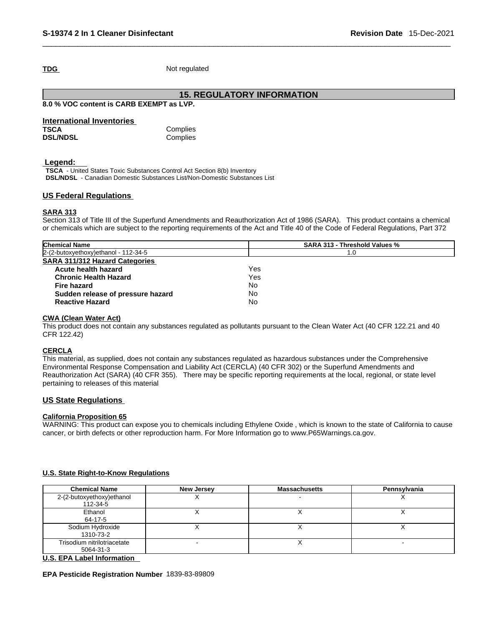**TDG** Not regulated

# **15. REGULATORY INFORMATION**

#### **8.0 % VOC content is CARB EXEMPT as LVP.**

| <b>International Inventories</b> |          |
|----------------------------------|----------|
| <b>TSCA</b>                      | Complies |
| <b>DSL/NDSL</b>                  | Complies |

#### **Legend:**

**TSCA** - United States Toxic Substances Control Act Section 8(b) Inventory **DSL/NDSL** - Canadian Domestic Substances List/Non-Domestic Substances List

### **US Federal Regulations**

#### **SARA 313**

Section 313 of Title III of the Superfund Amendments and Reauthorization Act of 1986 (SARA). This product contains a chemical or chemicals which are subject to the reporting requirements of the Act and Title 40 of the Code of Federal Regulations, Part 372

| <b>Chemical Name</b>                  | SARA 313 - Threshold Values % |
|---------------------------------------|-------------------------------|
| 2-(2-butoxyethoxy) ethanol - 112-34-5 | 1.0                           |
| <b>SARA 311/312 Hazard Categories</b> |                               |
| Acute health hazard                   | Yes                           |
| <b>Chronic Health Hazard</b>          | Yes                           |
| Fire hazard                           | No.                           |
| Sudden release of pressure hazard     | No.                           |
| <b>Reactive Hazard</b>                | No                            |

#### **CWA** (Clean Water Act)

This product does not contain any substances regulated as pollutants pursuant to the Clean Water Act (40 CFR 122.21 and 40 CFR 122.42)

# **CERCLA**

This material, as supplied, does not contain any substances regulated as hazardous substances under the Comprehensive Environmental Response Compensation and Liability Act (CERCLA) (40 CFR 302) or the Superfund Amendments and Reauthorization Act (SARA) (40 CFR 355). There may be specific reporting requirements at the local, regional, or state level pertaining to releases of this material

#### **US State Regulations**

#### **California Proposition 65**

WARNING: This product can expose you to chemicals including Ethylene Oxide, which is known to the state of California to cause cancer, or birth defects or other reproduction harm. For More Information go to www.P65Warnings.ca.gov.

#### **U.S. State Right-to-Know Regulations**

| <b>Chemical Name</b>                                                                                                                                                                                                                                                                                                                                                                                                                                                                       | <b>New Jersey</b> | <b>Massachusetts</b> | Pennsylvania |
|--------------------------------------------------------------------------------------------------------------------------------------------------------------------------------------------------------------------------------------------------------------------------------------------------------------------------------------------------------------------------------------------------------------------------------------------------------------------------------------------|-------------------|----------------------|--------------|
| 2-(2-butoxyethoxy)ethanol<br>112-34-5                                                                                                                                                                                                                                                                                                                                                                                                                                                      |                   |                      |              |
| Ethanol<br>64-17-5                                                                                                                                                                                                                                                                                                                                                                                                                                                                         |                   |                      |              |
| Sodium Hydroxide<br>1310-73-2                                                                                                                                                                                                                                                                                                                                                                                                                                                              |                   |                      |              |
| Trisodium nitrilotriacetate<br>5064-31-3                                                                                                                                                                                                                                                                                                                                                                                                                                                   |                   |                      |              |
| $\blacksquare$ $\blacksquare$ $\blacksquare$ $\blacksquare$ $\blacksquare$ $\blacksquare$ $\blacksquare$ $\blacksquare$ $\blacksquare$ $\blacksquare$ $\blacksquare$ $\blacksquare$ $\blacksquare$ $\blacksquare$ $\blacksquare$ $\blacksquare$ $\blacksquare$ $\blacksquare$ $\blacksquare$ $\blacksquare$ $\blacksquare$ $\blacksquare$ $\blacksquare$ $\blacksquare$ $\blacksquare$ $\blacksquare$ $\blacksquare$ $\blacksquare$ $\blacksquare$ $\blacksquare$ $\blacksquare$ $\blacks$ |                   |                      |              |

#### **U.S. EPA Label Information**

**EPA Pesticide Registration Number** 1839-83-89809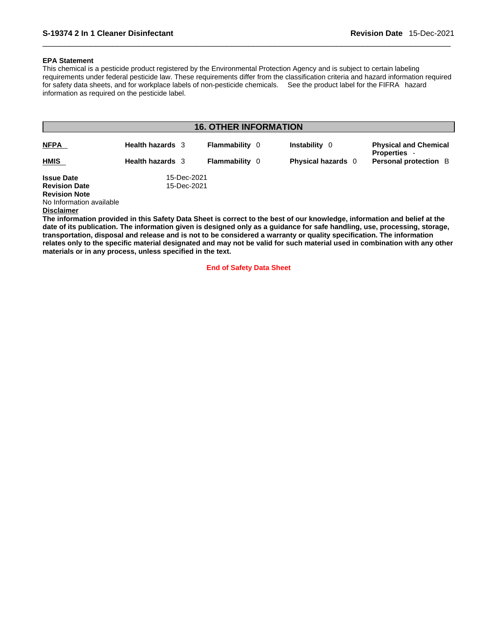#### **EPA Statement**

This chemical is a pesticide product registered by the Environmental Protection Agency and is subject to certain labeling requirements under federal pesticide law. These requirements differ from the classification criteria and hazard information required for safety data sheets, and for workplace labels of non-pesticide chemicals. See the productlabel for the FIFRA hazard information as required on the pesticide label.

| <b>16. OTHER INFORMATION</b> |                         |                       |                           |                                                   |
|------------------------------|-------------------------|-----------------------|---------------------------|---------------------------------------------------|
| <b>NFPA</b>                  | <b>Health hazards</b> 3 | <b>Flammability</b> 0 | Instability 0             | <b>Physical and Chemical</b><br><b>Properties</b> |
| <b>HMIS</b>                  | <b>Health hazards</b> 3 | <b>Flammability</b> 0 | <b>Physical hazards</b> 0 | <b>Personal protection</b> B                      |
| <b>Issue Date</b>            | 15-Dec-2021             |                       |                           |                                                   |
| <b>Revision Date</b>         | 15-Dec-2021             |                       |                           |                                                   |
| <b>Revision Note</b>         |                         |                       |                           |                                                   |
| No Information available     |                         |                       |                           |                                                   |

**Disclaimer**

The information provided in this Safety Data Sheet is correct to the best of our knowledge, information and belief at the date of its publication. The information given is designed only as a guidance for safe handling, use, processing, storage, transportation, disposal and release and is not to be considered a warranty or quality specification. The information relates only to the specific material designated and may not be valid for such material used in combination with any other **materials or in any process,unless specified in the text.**

**End of Safety Data Sheet**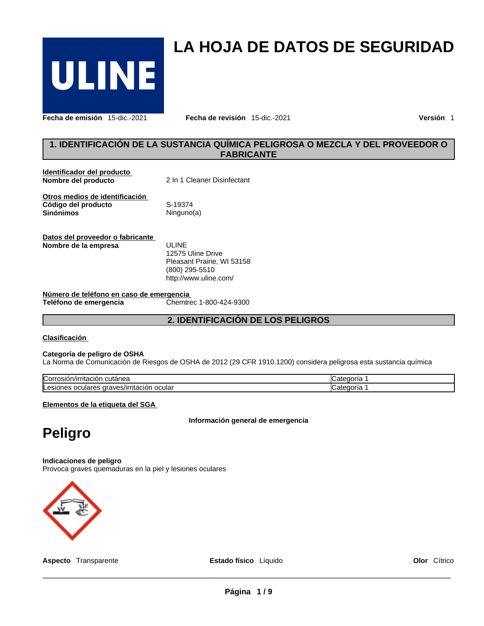

**LA HOJA DE DATOS DE SEGURIDAD** 

**Fecha de emisión** 15-dic.-2021 **Fecha de revisión** 15-dic.-2021 **Versión** 1

# **1. IDENTIFICACIÓN DE LA SUSTANCIA QUÍMICA PELIGROSA O MEZCLA Y DEL PROVEEDOR O FABRICANTE**

| Identificador del producto<br>Nombre del producto                         | 2 In 1 Cleaner Disinfectant                              |
|---------------------------------------------------------------------------|----------------------------------------------------------|
| Otros medios de identificación<br>Código del producto<br><b>Sinónimos</b> | S-19374<br>Ninguno(a)                                    |
| Datos del proveedor o fabricante<br>Nombre de la empresa                  | ULINE<br>12575 Uline Drive<br>Pleasant Prairie, WI 53158 |

(800) 295-5510 http://www.uline.com/

**Número de teléfono en caso de emergencia Teléfono** de emergencia

# **2. IDENTIFICACIÓN DE LOS PELIGROS**

#### **Clasificación**

#### **Categoría de peligro de OSHA**

La Norma de Comunicación de Riesgos de OSHA de 2012 (29 CFR 1910.1200) considera peligrosa esta sustancia química

| ∽                                                                                        | ı                             |
|------------------------------------------------------------------------------------------|-------------------------------|
| :osión/irritación                                                                        | anone* •                      |
| cutanea                                                                                  | ייר                           |
| Corrosion                                                                                | valo                          |
| araves/irr<br>ocular<br>$-1.4 - 1.4 - 1.4$<br>⊶esi …<br>oculares<br>ones<br>ion<br>тнас. | ı<br>`ooria<br>הידרי<br>lualt |

**Elementos de la etiqueta del SGA**

**Información general de emergencia**

# **Peligro**

**Indicaciones de peligro** Provoca graves quemaduras en la piel y lesiones oculares



**Aspecto** Transparente **Estado físico** Líquido

 $\_$  ,  $\_$  ,  $\_$  ,  $\_$  ,  $\_$  ,  $\_$  ,  $\_$  ,  $\_$  ,  $\_$  ,  $\_$  ,  $\_$  ,  $\_$  ,  $\_$  ,  $\_$  ,  $\_$  ,  $\_$  ,  $\_$  ,  $\_$  ,  $\_$  ,  $\_$  ,  $\_$  ,  $\_$  ,  $\_$  ,  $\_$  ,  $\_$  ,  $\_$  ,  $\_$  ,  $\_$  ,  $\_$  ,  $\_$  ,  $\_$  ,  $\_$  ,  $\_$  ,  $\_$  ,  $\_$  ,  $\_$  ,  $\_$  ,

**Olor** Cítrico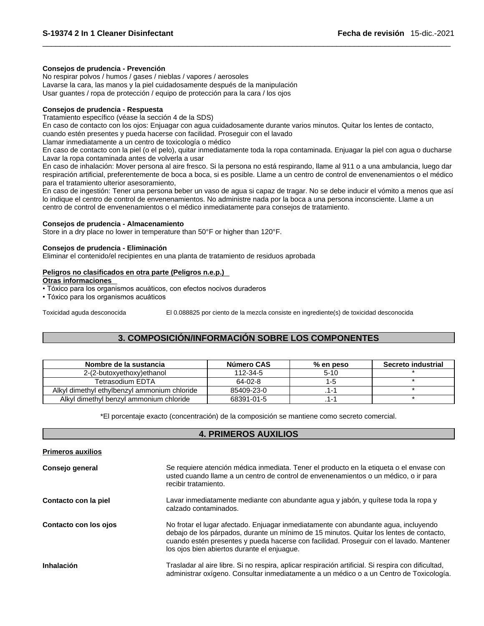#### **Consejos de prudencia - Prevención**

No respirar polvos / humos / gases / nieblas / vapores / aerosoles Lavarse la cara, las manos y la piel cuidadosamente después de la manipulación Usar guantes / ropa de protección / equipo de protección para la cara / los ojos

#### **Consejos de prudencia - Respuesta**

Tratamiento específico (véase la sección 4 de la SDS)

En caso de contacto con los ojos: Enjuagar con agua cuidadosamente durante varios minutos. Quitar los lentes de contacto,

cuando estén presentes y pueda hacerse con facilidad. Proseguir con el lavado

Llamar inmediatamente a un centro de toxicología o médico

En caso de contacto con la piel (o el pelo), quitar inmediatamente toda la ropa contaminada. Enjuagar la piel con agua o ducharse Lavar la ropa contaminada antes de volverla a usar

En caso de inhalación: Mover persona al aire fresco. Si la persona no está respirando, llame al 911 o a una ambulancia, luego dar respiración artificial, preferentemente de boca a boca, si es posible. Llame a un centro de control de envenenamientos o el médico para el tratamiento ulterior asesoramiento,

En caso de ingestión: Tener una persona beber un vaso de agua si capaz de tragar. No se debe inducir el vómito a menos que así lo indique el centro de control de envenenamientos. No administre nada por la boca a una persona inconsciente. Llame a un centro de control de envenenamientos o el médico inmediatamente para consejos de tratamiento.

#### **Consejos de prudencia - Almacenamiento**

Store in a dry place no lower in temperature than 50°F or higher than 120°F.

#### **Consejos de prudencia - Eliminación**

Eliminar el contenido/el recipientes en una planta de tratamiento de residuos aprobada

#### **Peligros no clasificados en otra parte (Peligros n.e.p.)**

**Otras informaciones** 

• Tóxico para los organismos acuáticos, con efectos nocivos duraderos

• Tóxico para los organismos acuáticos

Toxicidad aguda desconocida El 0.088825 por ciento de la mezcla consiste en ingrediente(s) de toxicidad desconocida

# **3. COMPOSICIÓN/INFORMACIÓN SOBRE LOS COMPONENTES**

| Nombre de la sustancia                       | Número CAS | $%$ en peso | Secreto industrial |
|----------------------------------------------|------------|-------------|--------------------|
| 2-(2-butoxyethoxy)ethanol                    | 112-34-5   | $5 - 10$    |                    |
| Tetrasodium EDTA                             | 64-02-8    | -5          |                    |
| Alkyl dimethyl ethylbenzyl ammonium chloride | 85409-23-0 |             |                    |
| Alkyl dimethyl benzyl ammonium chloride      | 68391-01-5 |             |                    |

\*El porcentaje exacto (concentración) de la composición se mantiene como secreto comercial.

# **4. PRIMEROS AUXILIOS**

| <b>Primeros auxilios</b> |                                                                                                                                                                                                                                                                                                                          |
|--------------------------|--------------------------------------------------------------------------------------------------------------------------------------------------------------------------------------------------------------------------------------------------------------------------------------------------------------------------|
| Consejo general          | Se requiere atención médica inmediata. Tener el producto en la etiqueta o el envase con<br>usted cuando llame a un centro de control de envenenamientos o un médico, o ir para<br>recibir tratamiento.                                                                                                                   |
| Contacto con la piel     | Lavar inmediatamente mediante con abundante agua y jabón, y quítese toda la ropa y<br>calzado contaminados.                                                                                                                                                                                                              |
| Contacto con los ojos    | No frotar el lugar afectado. Enjuagar inmediatamente con abundante agua, incluyendo<br>debajo de los párpados, durante un mínimo de 15 minutos. Quitar los lentes de contacto,<br>cuando estén presentes y pueda hacerse con facilidad. Proseguir con el lavado. Mantener<br>los ojos bien abiertos durante el enjuague. |
| Inhalación               | Trasladar al aire libre. Si no respira, aplicar respiración artificial. Si respira con dificultad,<br>administrar oxígeno. Consultar inmediatamente a un médico o a un Centro de Toxicología.                                                                                                                            |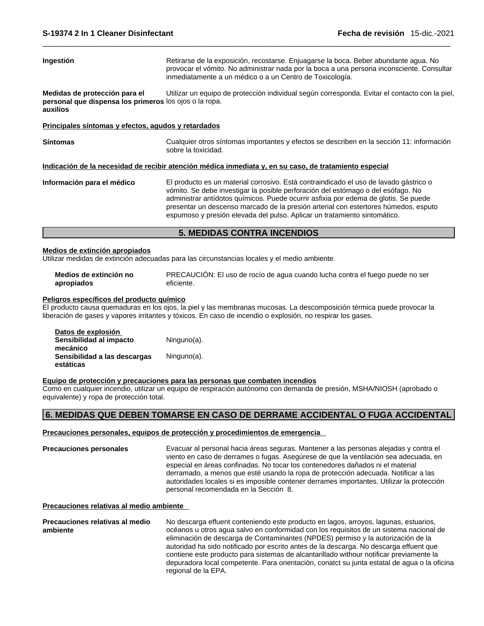**Ingestión** Retirarse de la exposición, recostarse. Enjuagarse la boca. Beber abundante agua. No provocar el vómito. No administrar nada por la boca a una persona inconsciente. Consultar inmediatamente a un médico o a un Centro de Toxicología.

**Medidas de protección para el personal que dispensa los primeros** los ojos o la ropa. **auxilios**  Utilizar un equipo de protección individual según corresponda. Evitar el contacto con la piel,

#### **Principales síntomas y efectos, agudos y retardados**

**Síntomas** Cualquier otros síntomas importantes y efectos se describen en la sección 11: información sobre la toxicidad.

#### **Indicación de la necesidad de recibir atención médica inmediata y, en su caso, de tratamiento especial**

**Información para el médico** El producto es un material corrosivo. Está contraindicado el uso de lavado gástrico o vómito. Se debe investigar la posible perforación del estómago o del esófago. No administrar antídotos químicos. Puede ocurrir asfixia por edema de glotis. Se puede presentar un descenso marcado de la presión arterial con estertores húmedos, esputo espumoso y presión elevada del pulso. Aplicar un tratamiento sintomático.

### **5. MEDIDAS CONTRA INCENDIOS**

#### **Medios de extinción apropiados**

Utilizar medidas de extinción adecuadas para las circunstancias locales y el medio ambiente.

| Medios de extinción no | PRECAUCIÓN: El uso de rocío de agua cuando lucha contra el fuego puede no ser |
|------------------------|-------------------------------------------------------------------------------|
| apropiados             | eficiente.                                                                    |

#### **Peligros específicos del producto químico**

El producto causa quemaduras en los ojos, la piely las membranas mucosas. La descomposición térmica puede provocar la liberación de gases y vapores irritantes y tóxicos. En caso de incendio o explosión, no respirar los gases.

| Datos de explosión           |             |
|------------------------------|-------------|
| Sensibilidad al impacto      | Ninguno(a). |
| mecánico                     |             |
| Sensibilidad a las descargas | Ninguno(a). |
| estáticas                    |             |

#### **Equipo de protección y precauciones para las personas que combaten incendios**

Como en cualquier incendio, utilizar un equipo de respiración autónomo con demanda de presión, MSHA/NIOSH (aprobado o equivalente) y ropa de protección total.

# **6. MEDIDAS QUE DEBEN TOMARSE EN CASO DE DERRAME ACCIDENTAL O FUGA ACCIDENTAL**

#### **Precauciones personales, equipos de protección y procedimientos de emergencia**

**Precauciones personales** Evacuar al personal hacia áreas seguras. Mantener a las personas alejadas y contra el viento en caso de derrames o fugas. Asegúrese de que la ventilación sea adecuada, en especial en áreas confinadas. No tocar los contenedores dañados ni el material derramado, a menos que esté usando la ropa de protección adecuada. Notificar a las autoridades locales si es imposible contenerderrames importantes. Utilizar la protección personal recomendada en la Sección 8.

#### **Precauciones relativas al medio ambiente**

**Precauciones relativas al medio ambiente** No descarga effuent conteniendo este producto en lagos, arroyos, lagunas, estuarios, océanos u otros agua salvo en conformidad con los requisitos de un sistema nacional de eliminación de descarga de Contaminantes (NPDES) permiso y la autorización de la autoridad ha sido notificado por escrito antes de la descarga. No descarga effuent que contiene este producto para sistemas de alcantarillado withour notificar previamente la depuradora local competente. Para orientación, conatct su junta estatal de agua o la oficina regional de la EPA.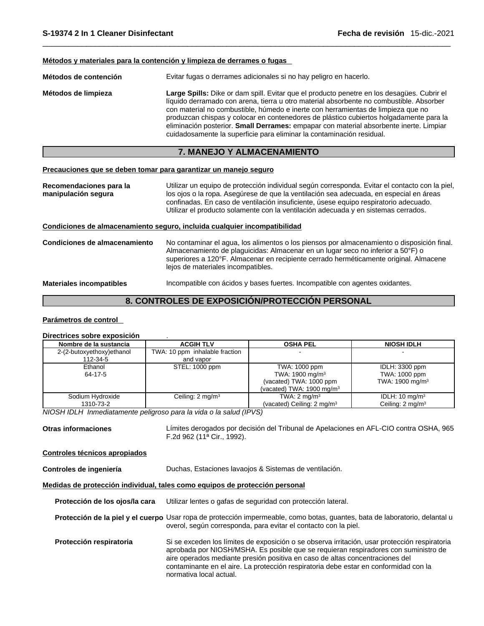#### **Métodos y materiales para la contención y limpieza de derrames o fugas**

**Métodos de contención** Evitar fugas o derrames adicionales si no hay peligro en hacerlo.**Métodos de limpieza Large Spills:** Dike or dam spill. Evitar que el producto penetre en los desagües. Cubrir el líquido derramado con arena, tierra u otro material absorbente no combustible. Absorber con material no combustible, húmedo e inerte con herramientas de limpieza que no produzcan chispas y colocar en contenedores de plástico cubiertos holgadamente para la eliminación posterior. **Small Derrames:** empapar con material absorbente inerte. Limpiar cuidadosamente la superficie para eliminar la contaminación residual.

# **7. MANEJO Y ALMACENAMIENTO**

#### **Precauciones que se deben tomar para garantizar un manejo seguro**

**Recomendaciones para la manipulación segura** Utilizar un equipo de protección individual según corresponda. Evitar el contacto con la piel, los ojos o la ropa. Asegúrese de que la ventilación sea adecuada, en especial en áreas confinadas. En caso de ventilación insuficiente, úsese equipo respiratorio adecuado. Utilizar el producto solamente con la ventilación adecuada y en sistemas cerrados. **Condiciones de almacenamiento seguro, incluida cualquier incompatibilidad Condiciones de almacenamiento** No contaminar el agua, los alimentos o los piensos por almacenamiento o disposición final. Almacenamiento de plaguicidas: Almacenar en un lugar seco no inferior a 50°F) o superiores a 120°F. Almacenar en recipiente cerrado herméticamente original. Almacene

**Materiales incompatibles** Incompatible con ácidos y bases fuertes. Incompatible con agentes oxidantes.

lejos de materiales incompatibles.

#### **8. CONTROLES DE EXPOSICIÓN/PROTECCIÓN PERSONAL**

#### **Parámetros de control**

#### **Directrices sobre exposición** .

| Nombre de la sustancia    | <b>ACGIH TLV</b>               | <b>OSHA PEL</b>                       | <b>NIOSH IDLH</b>            |
|---------------------------|--------------------------------|---------------------------------------|------------------------------|
| 2-(2-butoxyethoxy)ethanol | TWA: 10 ppm inhalable fraction |                                       |                              |
| 112-34-5                  | and vapor                      |                                       |                              |
| Ethanol                   | STEL: 1000 ppm                 | TWA: 1000 ppm                         | IDLH: 3300 ppm               |
| 64-17-5                   |                                | TWA: 1900 mg/m <sup>3</sup>           | TWA: 1000 ppm                |
|                           |                                | (vacated) TWA: 1000 ppm               | TWA: $1900 \text{ mg/m}^3$   |
|                           |                                | (vacated) TWA: 1900 mg/m <sup>3</sup> |                              |
| Sodium Hydroxide          | Ceiling: $2 \text{ mg/m}^3$    | TWA: $2 \text{ mg/m}^3$               | IDLH: $10 \text{ mg/m}^3$    |
| 1310-73-2                 |                                | (vacated) Ceiling: $2 \text{ mg/m}^3$ | Ceiling: 2 mg/m <sup>3</sup> |

*NIOSH IDLH Inmediatamente peligroso para la vida o la salud (IPVS)* 

**Otras informaciones** Límites derogados por decisión del Tribunal de Apelaciones en AFL-CIO contra OSHA, 965 F.2d 962 (11ª Cir., 1992).

#### **Controles técnicos apropiados**

**Controles de ingeniería** Duchas, Estaciones lavaojos & Sistemas de ventilación.

#### **Medidas de protección individual, tales como equipos de protección personal**

| Protección de los ojos/la cara | Utilizar lentes o gafas de seguridad con protección lateral.                                                                                                                                                                                                                                                                                                                            |
|--------------------------------|-----------------------------------------------------------------------------------------------------------------------------------------------------------------------------------------------------------------------------------------------------------------------------------------------------------------------------------------------------------------------------------------|
|                                | Protección de la piel y el cuerpo Usar ropa de protección impermeable, como botas, guantes, bata de laboratorio, delantal u<br>overol, según corresponda, para evitar el contacto con la piel.                                                                                                                                                                                          |
| Protección respiratoria        | Si se exceden los límites de exposición o se observa irritación, usar protección respiratoria<br>aprobada por NIOSH/MSHA. Es posible que se requieran respiradores con suministro de<br>aire operados mediante presión positiva en caso de altas concentraciones del<br>contaminante en el aire. La protección respiratoria debe estar en conformidad con la<br>normativa local actual. |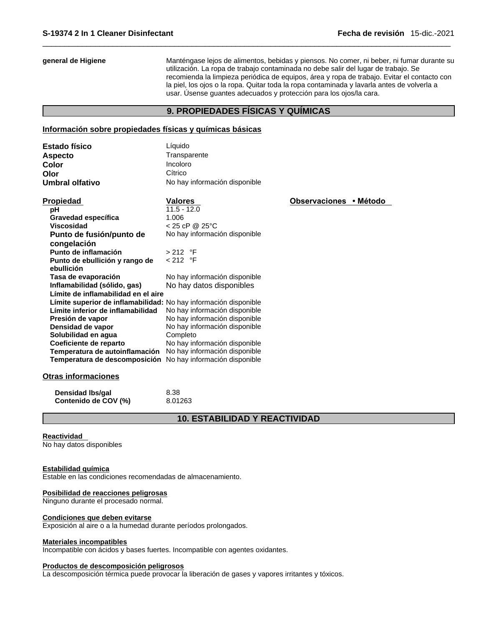**general de Higiene** Manténgase lejos de alimentos, bebidas y piensos. No comer, nibeber, ni fumar durante su utilización. La ropa de trabajo contaminada no debe salir del lugar de trabajo. Se recomienda la limpieza periódica de equipos, área y ropa de trabajo. Evitar el contacto con la piel, los ojos o la ropa. Quitar toda la ropa contaminada y lavarla antes de volverla a usar. Úsense guantes adecuados y protección para los ojos/la cara.

# **9. PROPIEDADES FÍSICAS Y QUÍMICAS**

## **Información sobre propiedades físicas y químicas básicas**

| Estado físico<br><b>Aspecto</b><br>Color<br>Olor<br>Umbral olfativo | Líquido<br>Transparente<br>Incoloro<br>Cítrico<br>No hay información disponible |                        |
|---------------------------------------------------------------------|---------------------------------------------------------------------------------|------------------------|
| <b>Propiedad</b>                                                    | Valores                                                                         | Observaciones • Método |
| рH                                                                  | $11.5 - 12.0$                                                                   |                        |
| Gravedad específica                                                 | 1.006                                                                           |                        |
| Viscosidad                                                          | $< 25$ cP @ 25°C                                                                |                        |
| Punto de fusión/punto de                                            | No hay información disponible                                                   |                        |
| congelación                                                         |                                                                                 |                        |
| Punto de inflamación                                                | $>212$ °F                                                                       |                        |
| Punto de ebullición y rango de<br>ebullición                        | $< 212$ °F                                                                      |                        |
| Tasa de evaporación                                                 | No hay información disponible                                                   |                        |
| Inflamabilidad (sólido, gas)                                        | No hay datos disponibles                                                        |                        |
| Límite de inflamabilidad en el aire                                 |                                                                                 |                        |
| Límite superior de inflamabilidad: No hay información disponible    |                                                                                 |                        |
| Límite inferior de inflamabilidad                                   | No hay información disponible                                                   |                        |
| Presión de vapor                                                    | No hay información disponible                                                   |                        |
| Densidad de vapor                                                   | No hay información disponible                                                   |                        |
| Solubilidad en agua                                                 | Completo                                                                        |                        |
| Coeficiente de reparto                                              | No hay información disponible                                                   |                        |
| Temperatura de autoinflamación                                      | No hay información disponible<br>No hay información disponible                  |                        |
| Temperatura de descomposición                                       |                                                                                 |                        |

# **Otras informaciones**

| Densidad Ibs/gal     | 8.38    |
|----------------------|---------|
| Contenido de COV (%) | 8.01263 |

**10. ESTABILIDAD Y REACTIVIDAD** 

#### **Reactividad**

No hay datos disponibles

# **Estabilidad química**

Estable en las condiciones recomendadas de almacenamiento.

# **Posibilidad de reacciones peligrosas**

Ninguno durante el procesado normal.

# **Condiciones que deben evitarse**

Exposición al aire o a la humedad durante períodos prolongados.

# **Materiales incompatibles**

Incompatible con ácidos y bases fuertes. Incompatible con agentes oxidantes.

#### **Productos de descomposición peligrosos**

La descomposición térmica puede provocar la liberación de gases y vapores irritantes y tóxicos.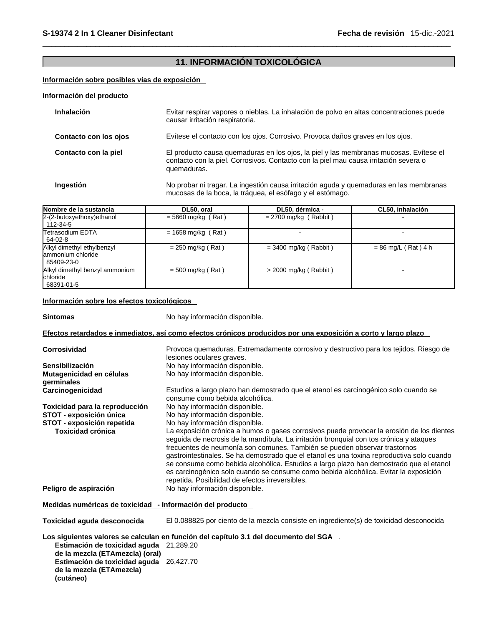# **11. INFORMACIÓN TOXICOLÓGICA**

#### **Información sobre posibles vías de exposición**

#### **Información del producto**

| <b>Inhalación</b>     | Evitar respirar vapores o nieblas. La inhalación de polvo en altas concentraciones puede<br>causar irritación respiratoria.                                                                  |
|-----------------------|----------------------------------------------------------------------------------------------------------------------------------------------------------------------------------------------|
| Contacto con los ojos | Evítese el contacto con los ojos. Corrosivo. Provoca daños graves en los ojos.                                                                                                               |
| Contacto con la piel  | El producto causa quemaduras en los ojos, la piel y las membranas mucosas. Evítese el<br>contacto con la piel. Corrosivos. Contacto con la piel mau causa irritación severa o<br>quemaduras. |
| Ingestión             | No probar ni tragar. La ingestión causa irritación aguda y quemaduras en las membranas<br>mucosas de la boca, la tráquea, el esófago y el estómago.                                          |

| Nombre de la sustancia                                          | DL50, oral           | DL50, dérmica -         | CL50, inhalación      |
|-----------------------------------------------------------------|----------------------|-------------------------|-----------------------|
| $2-(2-butoxyethoxy)ethanol$<br>112-34-5                         | $= 5660$ mg/kg (Rat) | $= 2700$ mg/kg (Rabbit) |                       |
| <b>Tetrasodium EDTA</b><br>64-02-8                              | $= 1658$ mg/kg (Rat) |                         |                       |
| Alkyl dimethyl ethylbenzyl<br>lammonium chloride<br>85409-23-0  | $= 250$ mg/kg (Rat)  | $=$ 3400 mg/kg (Rabbit) | $= 86$ mg/L (Rat) 4 h |
| Alkyl dimethyl benzyl ammonium<br><b>chloride</b><br>68391-01-5 | $=$ 500 mg/kg (Rat)  | $>$ 2000 mg/kg (Rabbit) |                       |

#### **Información sobre los efectos toxicológicos**

**Síntomas** No hay información disponible.

#### Efectos retardados e inmediatos, así como efectos crónicos producidos por una exposición a corto y largo plazo

| Corrosividad                           | Provoca quemaduras. Extremadamente corrosivo y destructivo para los tejidos. Riesgo de<br>lesiones oculares graves.                                                                                                                                                                                                                                                                                                                                                                                                                                                                                |
|----------------------------------------|----------------------------------------------------------------------------------------------------------------------------------------------------------------------------------------------------------------------------------------------------------------------------------------------------------------------------------------------------------------------------------------------------------------------------------------------------------------------------------------------------------------------------------------------------------------------------------------------------|
| Sensibilización                        | No hay información disponible.                                                                                                                                                                                                                                                                                                                                                                                                                                                                                                                                                                     |
| Mutagenicidad en células<br>germinales | No hay información disponible.                                                                                                                                                                                                                                                                                                                                                                                                                                                                                                                                                                     |
| Carcinogenicidad                       | Estudios a largo plazo han demostrado que el etanol es carcinogénico solo cuando se<br>consume como bebida alcohólica.                                                                                                                                                                                                                                                                                                                                                                                                                                                                             |
| Toxicidad para la reproducción         | No hay información disponible.                                                                                                                                                                                                                                                                                                                                                                                                                                                                                                                                                                     |
| STOT - exposición única                | No hay información disponible.                                                                                                                                                                                                                                                                                                                                                                                                                                                                                                                                                                     |
| STOT - exposición repetida             | No hay información disponible.                                                                                                                                                                                                                                                                                                                                                                                                                                                                                                                                                                     |
| <b>Toxicidad crónica</b>               | La exposición crónica a humos o gases corrosivos puede provocar la erosión de los dientes<br>seguida de necrosis de la mandíbula. La irritación bronquial con tos crónica y ataques<br>frecuentes de neumonía son comunes. También se pueden observar trastornos<br>gastrointestinales. Se ha demostrado que el etanol es una toxina reproductiva solo cuando<br>se consume como bebida alcohólica. Estudios a largo plazo han demostrado que el etanol<br>es carcinogénico solo cuando se consume como bebida alcohólica. Evitar la exposición<br>repetida. Posibilidad de efectos irreversibles. |
| Peligro de aspiración                  | No hay información disponible.                                                                                                                                                                                                                                                                                                                                                                                                                                                                                                                                                                     |
|                                        |                                                                                                                                                                                                                                                                                                                                                                                                                                                                                                                                                                                                    |

**Medidas numéricas de toxicidad - Información del producto**

**Toxicidad aguda desconocida** El 0.088825 por ciento de la mezcla consiste en ingrediente(s) de toxicidad desconocida

**Los siguientes valores se calculan en función del capítulo 3.1 del documento del SGA** . **Estimación de toxicidad aguda** 21,289.20 **de la mezcla (ETAmezcla) (oral) Estimación de toxicidad aguda** 26,427.70 **de la mezcla (ETAmezcla) (cutáneo)**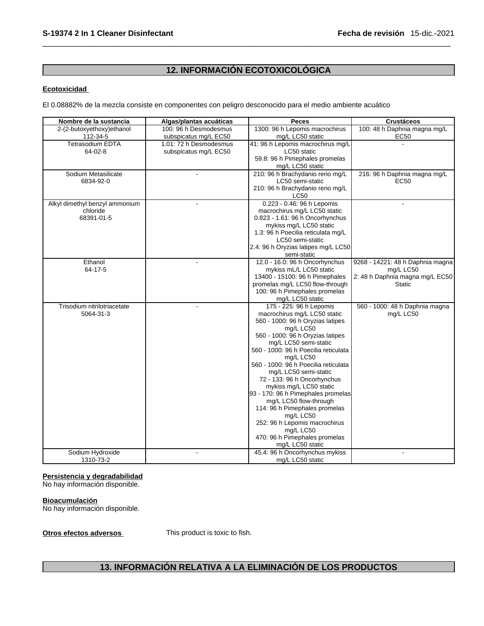# **12. INFORMACIÓN ECOTOXICOLÓGICA**

## **Ecotoxicidad**

El 0.08882% de la mezcla consiste en componentes con peligro desconocido para el medio ambiente acuático

| Nombre de la sustancia         | Algas/plantas acuáticas | <b>Peces</b>                         | <b>Crustáceos</b>                |
|--------------------------------|-------------------------|--------------------------------------|----------------------------------|
| 2-(2-butoxyethoxy)ethanol      | 100: 96 h Desmodesmus   | 1300: 96 h Lepomis macrochirus       | 100: 48 h Daphnia magna mg/L     |
| 112-34-5                       | subspicatus mg/L EC50   | mg/L LC50 static                     | EC50                             |
| <b>Tetrasodium EDTA</b>        | 1.01: 72 h Desmodesmus  | 41: 96 h Lepomis macrochirus mg/L    |                                  |
| 64-02-8                        | subspicatus mg/L EC50   | LC50 static                          |                                  |
|                                |                         | 59.8: 96 h Pimephales promelas       |                                  |
|                                |                         | mg/L LC50 static                     |                                  |
| Sodium Metasilicate            | $\overline{a}$          | 210: 96 h Brachydanio rerio mg/L     | 216: 96 h Daphnia magna mg/L     |
| 6834-92-0                      |                         | LC50 semi-static                     | EC50                             |
|                                |                         | 210: 96 h Brachydanio rerio mg/L     |                                  |
|                                |                         | LC50                                 |                                  |
| Alkyl dimethyl benzyl ammonium |                         | 0.223 - 0.46: 96 h Lepomis           |                                  |
| chloride                       |                         | macrochirus mg/L LC50 static         |                                  |
| 68391-01-5                     |                         | 0.823 - 1.61: 96 h Oncorhynchus      |                                  |
|                                |                         | mykiss mg/L LC50 static              |                                  |
|                                |                         | 1.3: 96 h Poecilia reticulata mg/L   |                                  |
|                                |                         | LC50 semi-static                     |                                  |
|                                |                         | 2.4: 96 h Oryzias latipes mg/L LC50  |                                  |
|                                |                         | semi-static                          |                                  |
| Ethanol                        |                         | 12.0 - 16.0: 96 h Oncorhynchus       | 9268 - 14221: 48 h Daphnia magna |
| 64-17-5                        |                         | mykiss mL/L LC50 static              | mg/L LC50                        |
|                                |                         | 13400 - 15100: 96 h Pimephales       | 2: 48 h Daphnia magna mg/L EC50  |
|                                |                         | promelas mg/L LC50 flow-through      | <b>Static</b>                    |
|                                |                         | 100: 96 h Pimephales promelas        |                                  |
|                                |                         | mg/L LC50 static                     |                                  |
| Trisodium nitrilotriacetate    |                         | 175 - 225: 96 h Lepomis              | 560 - 1000: 48 h Daphnia magna   |
| 5064-31-3                      |                         | macrochirus mg/L LC50 static         | mg/L LC50                        |
|                                |                         | 560 - 1000: 96 h Oryzias latipes     |                                  |
|                                |                         | mg/L LC50                            |                                  |
|                                |                         | 560 - 1000: 96 h Oryzias latipes     |                                  |
|                                |                         | mg/L LC50 semi-static                |                                  |
|                                |                         | 560 - 1000: 96 h Poecilia reticulata |                                  |
|                                |                         | mg/L LC50                            |                                  |
|                                |                         | 560 - 1000: 96 h Poecilia reticulata |                                  |
|                                |                         | mg/L LC50 semi-static                |                                  |
|                                |                         | 72 - 133: 96 h Oncorhynchus          |                                  |
|                                |                         | mykiss mg/L LC50 static              |                                  |
|                                |                         | 93 - 170: 96 h Pimephales promelas   |                                  |
|                                |                         | mg/L LC50 flow-through               |                                  |
|                                |                         | 114: 96 h Pimephales promelas        |                                  |
|                                |                         | mg/L LC50                            |                                  |
|                                |                         | 252: 96 h Lepomis macrochirus        |                                  |
|                                |                         | mg/L LC50                            |                                  |
|                                |                         | 470: 96 h Pimephales promelas        |                                  |
|                                | $\overline{a}$          | mg/L LC50 static                     |                                  |
| Sodium Hydroxide               |                         | 45.4: 96 h Oncorhynchus mykiss       | $\blacksquare$                   |
| 1310-73-2                      |                         | mg/L LC50 static                     |                                  |

### **Persistencia y degradabilidad**

No hay información disponible.

#### **Bioacumulación**

No hay información disponible.

**Otros efectos adversos** This product is toxic to fish.

# **13. INFORMACIÓN RELATIVA A LA ELIMINACIÓN DE LOS PRODUCTOS**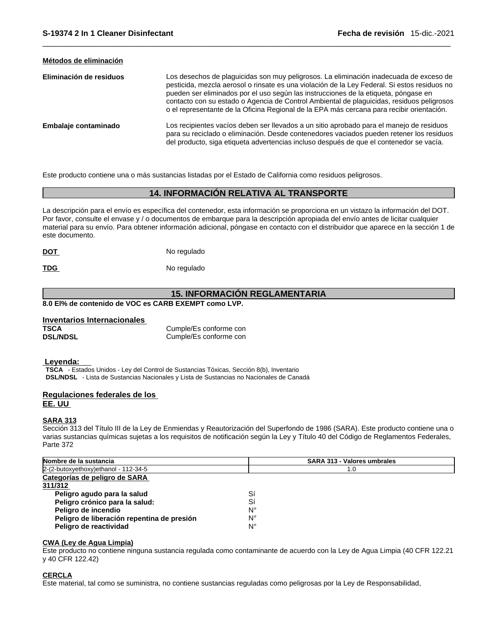| Métodos de eliminación  |                                                                                                                                                                                                                                                                                                                                                                                                                                                                         |
|-------------------------|-------------------------------------------------------------------------------------------------------------------------------------------------------------------------------------------------------------------------------------------------------------------------------------------------------------------------------------------------------------------------------------------------------------------------------------------------------------------------|
| Eliminación de residuos | Los desechos de plaguicidas son muy peligrosos. La eliminación inadecuada de exceso de<br>pesticida, mezcla aerosol o rinsate es una violación de la Ley Federal. Si estos residuos no<br>pueden ser eliminados por el uso según las instrucciones de la etiqueta, póngase en<br>contacto con su estado o Agencia de Control Ambiental de plaguicidas, residuos peligrosos<br>o el representante de la Oficina Regional de la EPA más cercana para recibir orientación. |
| Embalaje contaminado    | Los recipientes vacíos deben ser llevados a un sitio aprobado para el manejo de residuos<br>para su reciclado o eliminación. Desde contenedores vaciados pueden retener los residuos<br>del producto, siga etiqueta advertencias incluso después de que el contenedor se vacía.                                                                                                                                                                                         |
|                         |                                                                                                                                                                                                                                                                                                                                                                                                                                                                         |

Este producto contiene una o más sustancias listadas por el Estado de California como residuos peligrosos.

# **14. INFORMACIÓN RELATIVA AL TRANSPORTE**

La descripción para el envío es específica del contenedor, esta información se proporciona en un vistazo la información del DOT. Por favor, consulte el envase y / o documentos de embarque para la descripción apropiada del envío antes de licitar cualquier material para su envío. Para obtener información adicional, póngase en contacto con el distribuidor que aparece en la sección 1 de este documento.

| DOT | No regulado |
|-----|-------------|
|-----|-------------|

TDG No regulado

#### **15. INFORMACIÓN REGLAMENTARIA**

**8.0 El% de contenido de VOC es CARB EXEMPT como LVP.**

| <b>Inventarios Internacionales</b> |                        |
|------------------------------------|------------------------|
| TSCA                               | Cumple/Es conforme con |
| <b>DSL/NDSL</b>                    | Cumple/Es conforme con |

#### **Leyenda:**

**TSCA** - Estados Unidos - Ley del Control de Sustancias Tóxicas, Sección 8(b), Inventario **DSL/NDSL** - Lista de Sustancias Nacionales y Lista de Sustancias no Nacionales de Canadá

#### **Regulaciones federales de los EE. UU**

#### **SARA 313**

Sección 313 del Título III de la Ley de Enmiendas y Reautorización del Superfondo de 1986 (SARA). Este producto contiene una o varias sustancias químicas sujetas a los requisitos de notificación según la Ley y Título 40 del Código de Reglamentos Federales, Parte 372

| Nombre de la sustancia                     | <b>SARA 313 - Valores umbrales</b> |  |
|--------------------------------------------|------------------------------------|--|
| 2-(2-butoxyethoxy)ethanol - 112-34-5       | 1.0                                |  |
| Categorías de peligro de SARA              |                                    |  |
| 311/312                                    |                                    |  |
| Peligro agudo para la salud                | Sí                                 |  |
| Peligro crónico para la salud:             | Sí                                 |  |
| Peligro de incendio                        | Ν°                                 |  |
| Peligro de liberación repentina de presión | N°                                 |  |
| Peligro de reactividad                     | N°                                 |  |

### **CWA (Ley de Agua Limpia)**

Este producto no contiene ninguna sustancia regulada como contaminante de acuerdo con la Ley de Agua Limpia (40 CFR 122.21 y 40 CFR 122.42)

#### **CERCLA**

Este material, tal como se suministra, no contiene sustancias reguladas como peligrosas por la Ley de Responsabilidad,